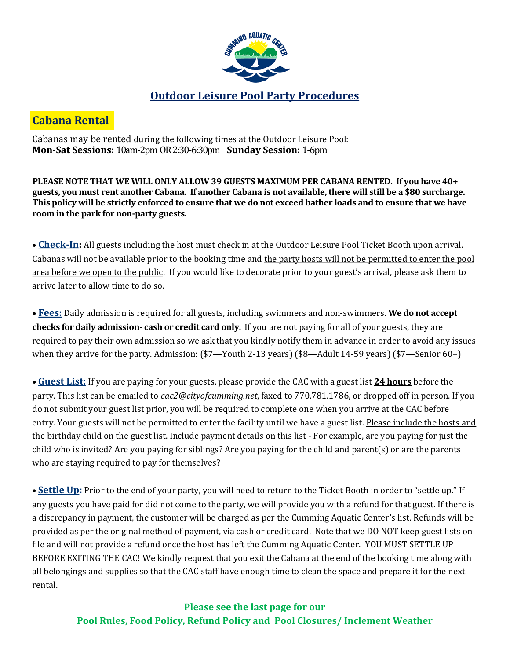

# **Cabana Rental**

Cabanas may be rented during the following times at the Outdoor Leisure Pool: **Mon-Sat Sessions:** 10am-2pm OR 2:30-6:30pm **Sunday Session:** 1-6pm

**PLEASE NOTE THAT WE WILL ONLY ALLOW 39 GUESTS MAXIMUM PER CABANA RENTED. If you have 40+ guests, you must rent another Cabana. If another Cabana is not available, there will still be a \$80 surcharge. This policy will be strictly enforced to ensure that we do not exceed bather loads and to ensure that we have room in the park for non-party guests.**

• **Check-In:** All guests including the host must check in at the Outdoor Leisure Pool Ticket Booth upon arrival. Cabanas will not be available prior to the booking time and the party hosts will not be permitted to enter the pool area before we open to the public. If you would like to decorate prior to your guest's arrival, please ask them to arrive later to allow time to do so.

• **Fees:** Daily admission is required for all guests, including swimmers and non-swimmers. **We do not accept checks for daily admission- cash or credit card only.** If you are not paying for all of your guests, they are required to pay their own admission so we ask that you kindly notify them in advance in order to avoid any issues when they arrive for the party. Admission: (\$7—Youth 2-13 years) (\$8—Adult 14-59 years) (\$7—Senior 60+)

• **Guest List:** If you are paying for your guests, please provide the CAC with a guest list **24 hours** before the party. This list can be emailed to *cac2@cityofcumming.net*, faxed to 770.781.1786, or dropped off in person. If you do not submit your guest list prior, you will be required to complete one when you arrive at the CAC before entry. Your guests will not be permitted to enter the facility until we have a guest list. Please include the hosts and the birthday child on the guest list. Include payment details on this list - For example, are you paying for just the child who is invited? Are you paying for siblings? Are you paying for the child and parent(s) or are the parents who are staying required to pay for themselves?

• **Settle Up:** Prior to the end of your party, you will need to return to the Ticket Booth in order to "settle up." If any guests you have paid for did not come to the party, we will provide you with a refund for that guest. If there is a discrepancy in payment, the customer will be charged as per the Cumming Aquatic Center's list. Refunds will be provided as per the original method of payment, via cash or credit card. Note that we DO NOT keep guest lists on file and will not provide a refund once the host has left the Cumming Aquatic Center. YOU MUST SETTLE UP BEFORE EXITING THE CAC! We kindly request that you exit the Cabana at the end of the booking time along with all belongings and supplies so that the CAC staff have enough time to clean the space and prepare it for the next rental.

**Please see the last page for our Pool Rules, Food Policy, Refund Policy and Pool Closures/ Inclement Weather**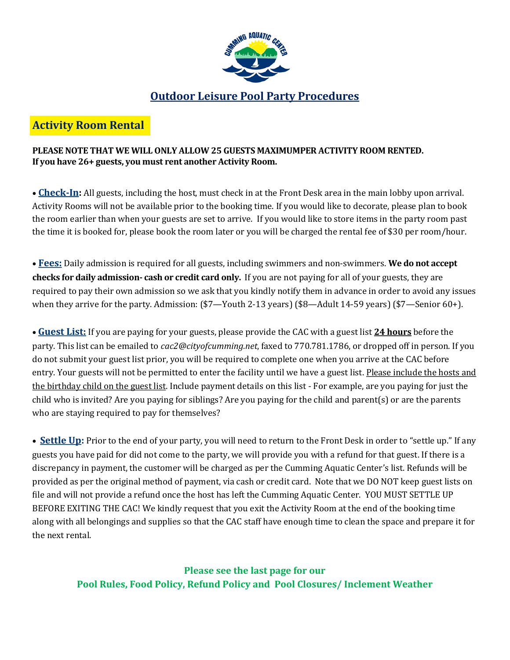

## **Outdoor Leisure Pool Party Procedures**

## **Activity Room Rental**

### **PLEASE NOTE THAT WE WILL ONLY ALLOW 25 GUESTS MAXIMUMPER ACTIVITY ROOM RENTED. If you have 26+ guests, you must rent another Activity Room.**

• **Check-In:** All guests, including the host, must check in at the Front Desk area in the main lobby upon arrival. Activity Rooms will not be available prior to the booking time. If you would like to decorate, please plan to book the room earlier than when your guests are set to arrive. If you would like to store items in the party room past the time it is booked for, please book the room later or you will be charged the rental fee of \$30 per room/hour.

• **Fees:** Daily admission is required for all guests, including swimmers and non-swimmers. **We do not accept checks for daily admission- cash or credit card only.** If you are not paying for all of your guests, they are required to pay their own admission so we ask that you kindly notify them in advance in order to avoid any issues when they arrive for the party. Admission: (\$7—Youth 2-13 years) (\$8—Adult 14-59 years) (\$7—Senior 60+).

• **Guest List:** If you are paying for your guests, please provide the CAC with a guest list **24 hours** before the party. This list can be emailed to *cac2@cityofcumming.net*, faxed to 770.781.1786, or dropped off in person. If you do not submit your guest list prior, you will be required to complete one when you arrive at the CAC before entry. Your guests will not be permitted to enter the facility until we have a guest list. Please include the hosts and the birthday child on the guest list. Include payment details on this list - For example, are you paying for just the child who is invited? Are you paying for siblings? Are you paying for the child and parent(s) or are the parents who are staying required to pay for themselves?

• **Settle Up:** Prior to the end of your party, you will need to return to the Front Desk in order to "settle up." If any guests you have paid for did not come to the party, we will provide you with a refund for that guest. If there is a discrepancy in payment, the customer will be charged as per the Cumming Aquatic Center's list. Refunds will be provided as per the original method of payment, via cash or credit card. Note that we DO NOT keep guest lists on file and will not provide a refund once the host has left the Cumming Aquatic Center. YOU MUST SETTLE UP BEFORE EXITING THE CAC! We kindly request that you exit the Activity Room at the end of the booking time along with all belongings and supplies so that the CAC staff have enough time to clean the space and prepare it for the next rental.

> **Please see the last page for our Pool Rules, Food Policy, Refund Policy and Pool Closures/ Inclement Weather**